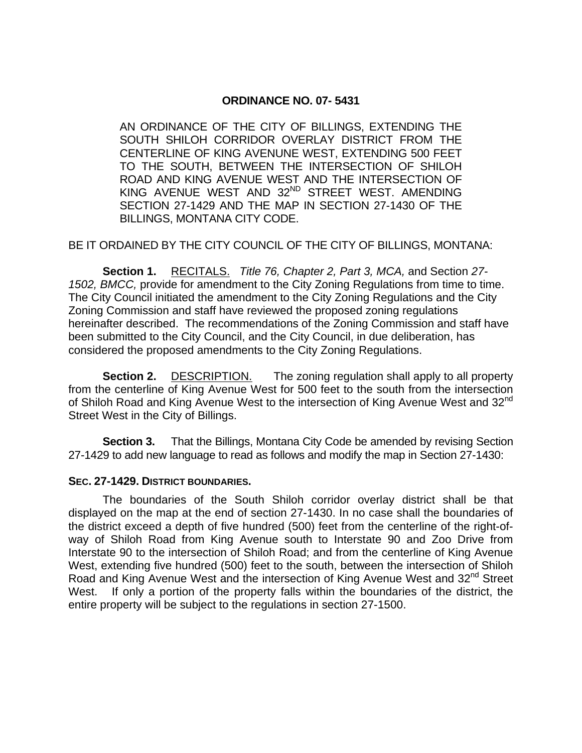## **ORDINANCE NO. 07- 5431**

AN ORDINANCE OF THE CITY OF BILLINGS, EXTENDING THE SOUTH SHILOH CORRIDOR OVERLAY DISTRICT FROM THE CENTERLINE OF KING AVENUNE WEST, EXTENDING 500 FEET TO THE SOUTH, BETWEEN THE INTERSECTION OF SHILOH ROAD AND KING AVENUE WEST AND THE INTERSECTION OF KING AVENUE WEST AND 32<sup>ND</sup> STREET WEST. AMENDING SECTION 27-1429 AND THE MAP IN SECTION 27-1430 OF THE BILLINGS, MONTANA CITY CODE.

## BE IT ORDAINED BY THE CITY COUNCIL OF THE CITY OF BILLINGS, MONTANA:

**Section 1.** RECITALS. *Title 76, Chapter 2, Part 3, MCA,* and Section *27- 1502, BMCC,* provide for amendment to the City Zoning Regulations from time to time. The City Council initiated the amendment to the City Zoning Regulations and the City Zoning Commission and staff have reviewed the proposed zoning regulations hereinafter described. The recommendations of the Zoning Commission and staff have been submitted to the City Council, and the City Council, in due deliberation, has considered the proposed amendments to the City Zoning Regulations.

**Section 2.** DESCRIPTION. The zoning regulation shall apply to all property from the centerline of King Avenue West for 500 feet to the south from the intersection of Shiloh Road and King Avenue West to the intersection of King Avenue West and 32<sup>nd</sup> Street West in the City of Billings.

**Section 3.** That the Billings, Montana City Code be amended by revising Section 27-1429 to add new language to read as follows and modify the map in Section 27-1430:

## **SEC. 27-1429. DISTRICT BOUNDARIES.**

The boundaries of the South Shiloh corridor overlay district shall be that displayed on the map at the end of section 27-1430. In no case shall the boundaries of the district exceed a depth of five hundred (500) feet from the centerline of the right-ofway of Shiloh Road from King Avenue south to Interstate 90 and Zoo Drive from Interstate 90 to the intersection of Shiloh Road; and from the centerline of King Avenue West, extending five hundred (500) feet to the south, between the intersection of Shiloh Road and King Avenue West and the intersection of King Avenue West and 32<sup>nd</sup> Street West. If only a portion of the property falls within the boundaries of the district, the entire property will be subject to the regulations in section 27-1500.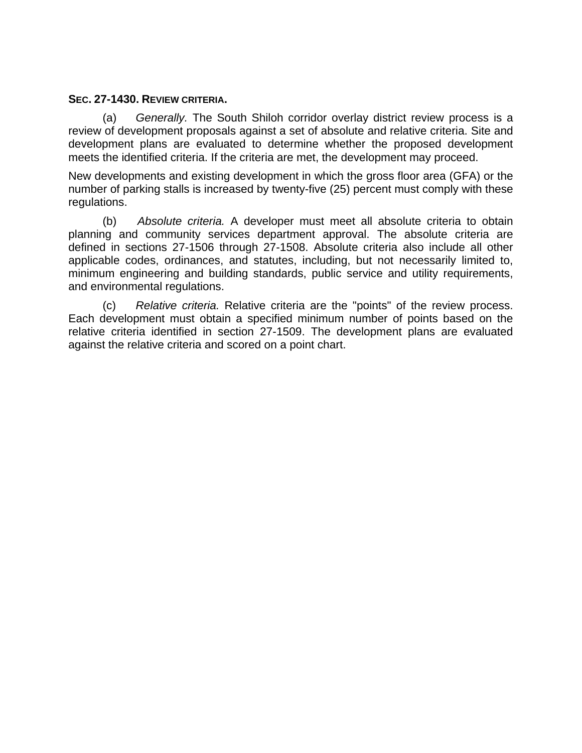## **SEC. 27-1430. REVIEW CRITERIA.**

(a) *Generally.* The South Shiloh corridor overlay district review process is a review of development proposals against a set of absolute and relative criteria. Site and development plans are evaluated to determine whether the proposed development meets the identified criteria. If the criteria are met, the development may proceed.

New developments and existing development in which the gross floor area (GFA) or the number of parking stalls is increased by twenty-five (25) percent must comply with these regulations.

 (b) *Absolute criteria.* A developer must meet all absolute criteria to obtain planning and community services department approval. The absolute criteria are defined in sections 27-1506 through 27-1508. Absolute criteria also include all other applicable codes, ordinances, and statutes, including, but not necessarily limited to, minimum engineering and building standards, public service and utility requirements, and environmental regulations.

 (c) *Relative criteria.* Relative criteria are the "points" of the review process. Each development must obtain a specified minimum number of points based on the relative criteria identified in section 27-1509. The development plans are evaluated against the relative criteria and scored on a point chart.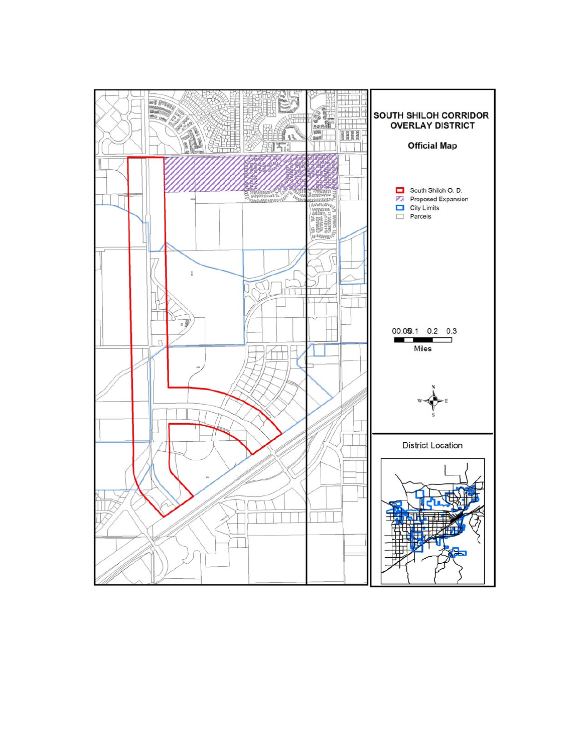